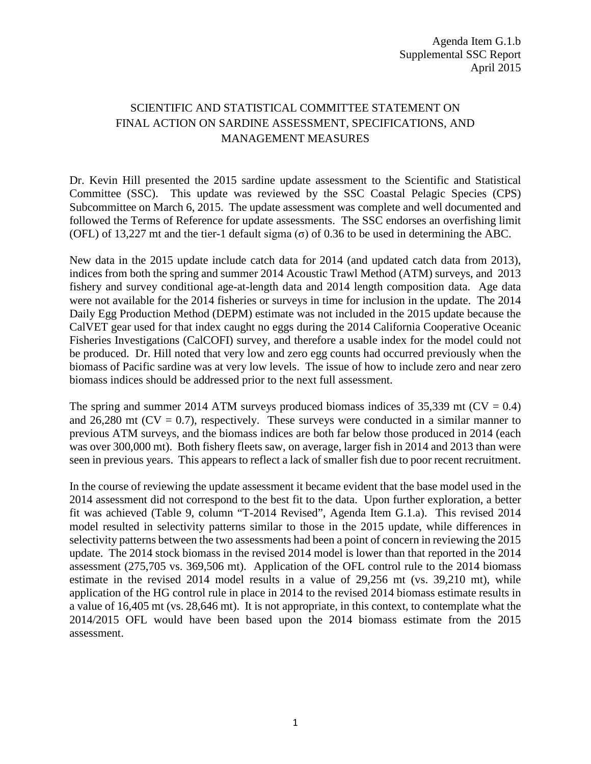## SCIENTIFIC AND STATISTICAL COMMITTEE STATEMENT ON FINAL ACTION ON SARDINE ASSESSMENT, SPECIFICATIONS, AND MANAGEMENT MEASURES

Dr. Kevin Hill presented the 2015 sardine update assessment to the Scientific and Statistical Committee (SSC). This update was reviewed by the SSC Coastal Pelagic Species (CPS) Subcommittee on March 6, 2015. The update assessment was complete and well documented and followed the Terms of Reference for update assessments. The SSC endorses an overfishing limit (OFL) of 13,227 mt and the tier-1 default sigma ( $\sigma$ ) of 0.36 to be used in determining the ABC.

New data in the 2015 update include catch data for 2014 (and updated catch data from 2013), indices from both the spring and summer 2014 Acoustic Trawl Method (ATM) surveys, and 2013 fishery and survey conditional age-at-length data and 2014 length composition data. Age data were not available for the 2014 fisheries or surveys in time for inclusion in the update. The 2014 Daily Egg Production Method (DEPM) estimate was not included in the 2015 update because the CalVET gear used for that index caught no eggs during the 2014 California Cooperative Oceanic Fisheries Investigations (CalCOFI) survey, and therefore a usable index for the model could not be produced. Dr. Hill noted that very low and zero egg counts had occurred previously when the biomass of Pacific sardine was at very low levels. The issue of how to include zero and near zero biomass indices should be addressed prior to the next full assessment.

The spring and summer 2014 ATM surveys produced biomass indices of 35,339 mt ( $CV = 0.4$ ) and 26,280 mt ( $CV = 0.7$ ), respectively. These surveys were conducted in a similar manner to previous ATM surveys, and the biomass indices are both far below those produced in 2014 (each was over 300,000 mt). Both fishery fleets saw, on average, larger fish in 2014 and 2013 than were seen in previous years. This appears to reflect a lack of smaller fish due to poor recent recruitment.

In the course of reviewing the update assessment it became evident that the base model used in the 2014 assessment did not correspond to the best fit to the data. Upon further exploration, a better fit was achieved (Table 9, column "T-2014 Revised", Agenda Item G.1.a). This revised 2014 model resulted in selectivity patterns similar to those in the 2015 update, while differences in selectivity patterns between the two assessments had been a point of concern in reviewing the 2015 update. The 2014 stock biomass in the revised 2014 model is lower than that reported in the 2014 assessment (275,705 vs. 369,506 mt). Application of the OFL control rule to the 2014 biomass estimate in the revised 2014 model results in a value of 29,256 mt (vs. 39,210 mt), while application of the HG control rule in place in 2014 to the revised 2014 biomass estimate results in a value of 16,405 mt (vs. 28,646 mt). It is not appropriate, in this context, to contemplate what the 2014/2015 OFL would have been based upon the 2014 biomass estimate from the 2015 assessment.